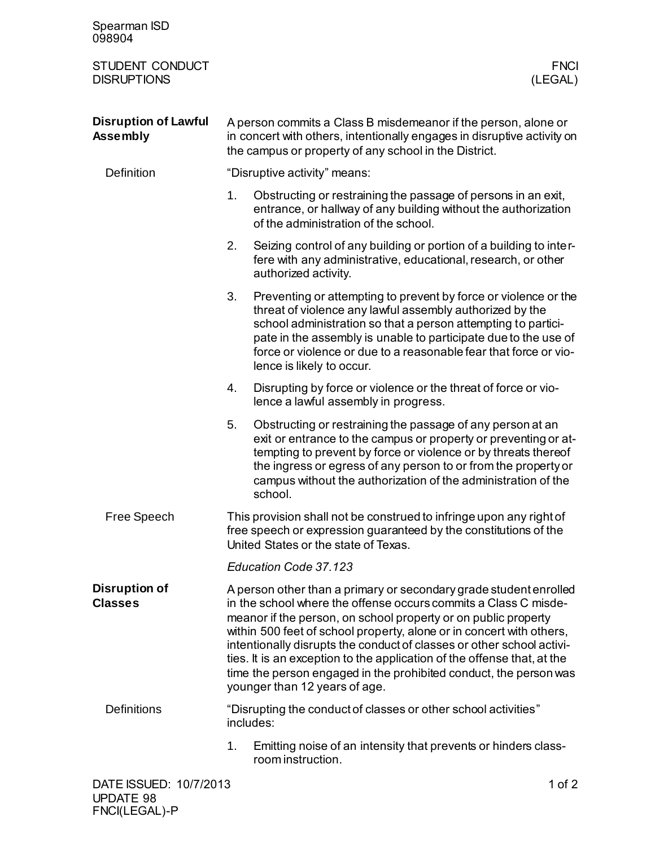| Spearman ISD<br>098904                         |                                                                                                                                                                                                                                                                                                                                                                                                                                                                                                                                          |                                                                                                                                                                                                                                                                                                                                                                  |  |
|------------------------------------------------|------------------------------------------------------------------------------------------------------------------------------------------------------------------------------------------------------------------------------------------------------------------------------------------------------------------------------------------------------------------------------------------------------------------------------------------------------------------------------------------------------------------------------------------|------------------------------------------------------------------------------------------------------------------------------------------------------------------------------------------------------------------------------------------------------------------------------------------------------------------------------------------------------------------|--|
| STUDENT CONDUCT<br><b>DISRUPTIONS</b>          |                                                                                                                                                                                                                                                                                                                                                                                                                                                                                                                                          | <b>FNCI</b><br>(LEGAL)                                                                                                                                                                                                                                                                                                                                           |  |
| <b>Disruption of Lawful</b><br><b>Assembly</b> | A person commits a Class B misdemeanor if the person, alone or<br>in concert with others, intentionally engages in disruptive activity on<br>the campus or property of any school in the District.                                                                                                                                                                                                                                                                                                                                       |                                                                                                                                                                                                                                                                                                                                                                  |  |
| <b>Definition</b>                              | "Disruptive activity" means:                                                                                                                                                                                                                                                                                                                                                                                                                                                                                                             |                                                                                                                                                                                                                                                                                                                                                                  |  |
|                                                | 1.                                                                                                                                                                                                                                                                                                                                                                                                                                                                                                                                       | Obstructing or restraining the passage of persons in an exit,<br>entrance, or hallway of any building without the authorization<br>of the administration of the school.                                                                                                                                                                                          |  |
|                                                | 2.                                                                                                                                                                                                                                                                                                                                                                                                                                                                                                                                       | Seizing control of any building or portion of a building to inter-<br>fere with any administrative, educational, research, or other<br>authorized activity.                                                                                                                                                                                                      |  |
|                                                | 3.                                                                                                                                                                                                                                                                                                                                                                                                                                                                                                                                       | Preventing or attempting to prevent by force or violence or the<br>threat of violence any lawful assembly authorized by the<br>school administration so that a person attempting to partici-<br>pate in the assembly is unable to participate due to the use of<br>force or violence or due to a reasonable fear that force or vio-<br>lence is likely to occur. |  |
|                                                | 4.                                                                                                                                                                                                                                                                                                                                                                                                                                                                                                                                       | Disrupting by force or violence or the threat of force or vio-<br>lence a lawful assembly in progress.                                                                                                                                                                                                                                                           |  |
|                                                | 5.                                                                                                                                                                                                                                                                                                                                                                                                                                                                                                                                       | Obstructing or restraining the passage of any person at an<br>exit or entrance to the campus or property or preventing or at-<br>tempting to prevent by force or violence or by threats thereof<br>the ingress or egress of any person to or from the property or<br>campus without the authorization of the administration of the<br>school.                    |  |
| Free Speech                                    | This provision shall not be construed to infringe upon any right of<br>free speech or expression guaranteed by the constitutions of the<br>United States or the state of Texas.                                                                                                                                                                                                                                                                                                                                                          |                                                                                                                                                                                                                                                                                                                                                                  |  |
|                                                |                                                                                                                                                                                                                                                                                                                                                                                                                                                                                                                                          | Education Code 37.123                                                                                                                                                                                                                                                                                                                                            |  |
| <b>Disruption of</b><br><b>Classes</b>         | A person other than a primary or secondary grade student enrolled<br>in the school where the offense occurs commits a Class C misde-<br>meanor if the person, on school property or on public property<br>within 500 feet of school property, alone or in concert with others,<br>intentionally disrupts the conduct of classes or other school activi-<br>ties. It is an exception to the application of the offense that, at the<br>time the person engaged in the prohibited conduct, the person was<br>younger than 12 years of age. |                                                                                                                                                                                                                                                                                                                                                                  |  |
| <b>Definitions</b>                             |                                                                                                                                                                                                                                                                                                                                                                                                                                                                                                                                          | "Disrupting the conduct of classes or other school activities"<br>includes:                                                                                                                                                                                                                                                                                      |  |
|                                                | 1.                                                                                                                                                                                                                                                                                                                                                                                                                                                                                                                                       | Emitting noise of an intensity that prevents or hinders class-<br>room instruction.                                                                                                                                                                                                                                                                              |  |
| DATE ISSUED: 10/7/2013                         |                                                                                                                                                                                                                                                                                                                                                                                                                                                                                                                                          | 1 of $2$                                                                                                                                                                                                                                                                                                                                                         |  |